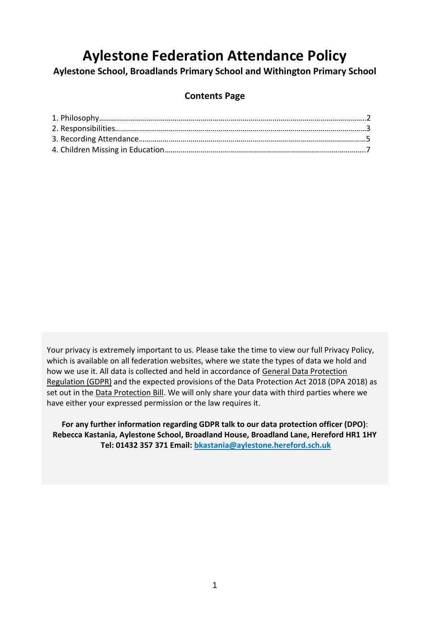# **Aylestone Federation Attendance Policy**

**Aylestone School, Broadlands Primary School and Withington Primary School**

# **Contents Page**

Your privacy is extremely important to us. Please take the time to view our full Privacy Policy, which is available on all federation websites, where we state the types of data we hold and how we use it. All data is collected and held in accordance of [General Data Protection](http://data.consilium.europa.eu/doc/document/ST-5419-2016-INIT/en/pdf)  [Regulation \(GDPR\)](http://data.consilium.europa.eu/doc/document/ST-5419-2016-INIT/en/pdf) and the expected provisions of the Data Protection Act 2018 (DPA 2018) as set out in the [Data Protection Bill.](https://publications.parliament.uk/pa/bills/cbill/2017-2019/0153/18153.pdf) We will only share your data with third parties where we have either your expressed permission or the law requires it.

**For any further information regarding GDPR talk to our data protection officer (DPO)**: **Rebecca Kastania, Aylestone School, Broadland House, Broadland Lane, Hereford HR1 1HY Tel: 01432 357 371 Email: [bkastania@aylestone.hereford.sch.uk](mailto:bkastania@aylestone.hereford.sch.uk)**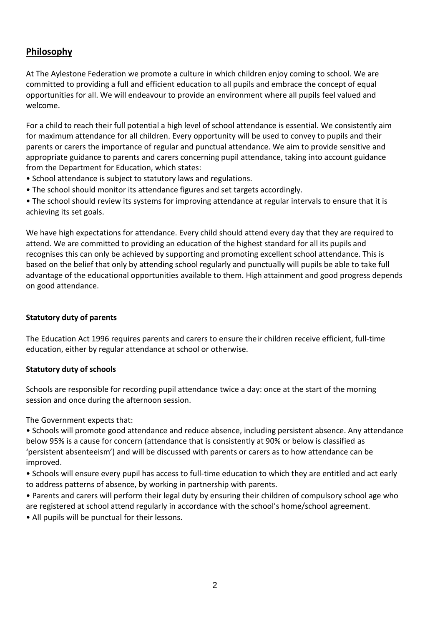# **Philosophy**

At The Aylestone Federation we promote a culture in which children enjoy coming to school. We are committed to providing a full and efficient education to all pupils and embrace the concept of equal opportunities for all. We will endeavour to provide an environment where all pupils feel valued and welcome.

For a child to reach their full potential a high level of school attendance is essential. We consistently aim for maximum attendance for all children. Every opportunity will be used to convey to pupils and their parents or carers the importance of regular and punctual attendance. We aim to provide sensitive and appropriate guidance to parents and carers concerning pupil attendance, taking into account guidance from the Department for Education, which states:

- School attendance is subject to statutory laws and regulations.
- The school should monitor its attendance figures and set targets accordingly.

• The school should review its systems for improving attendance at regular intervals to ensure that it is achieving its set goals.

We have high expectations for attendance. Every child should attend every day that they are required to attend. We are committed to providing an education of the highest standard for all its pupils and recognises this can only be achieved by supporting and promoting excellent school attendance. This is based on the belief that only by attending school regularly and punctually will pupils be able to take full advantage of the educational opportunities available to them. High attainment and good progress depends on good attendance.

# **Statutory duty of parents**

The Education Act 1996 requires parents and carers to ensure their children receive efficient, full-time education, either by regular attendance at school or otherwise.

#### **Statutory duty of schools**

Schools are responsible for recording pupil attendance twice a day: once at the start of the morning session and once during the afternoon session.

The Government expects that:

• Schools will promote good attendance and reduce absence, including persistent absence. Any attendance below 95% is a cause for concern (attendance that is consistently at 90% or below is classified as 'persistent absenteeism') and will be discussed with parents or carers as to how attendance can be improved.

• Schools will ensure every pupil has access to full-time education to which they are entitled and act early to address patterns of absence, by working in partnership with parents.

- Parents and carers will perform their legal duty by ensuring their children of compulsory school age who are registered at school attend regularly in accordance with the school's home/school agreement.
- All pupils will be punctual for their lessons.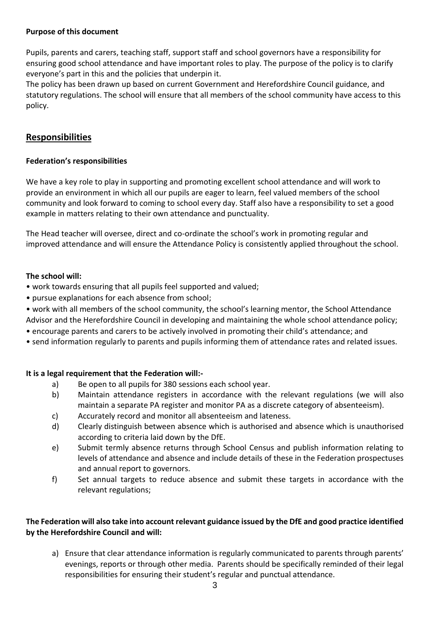# **Purpose of this document**

Pupils, parents and carers, teaching staff, support staff and school governors have a responsibility for ensuring good school attendance and have important roles to play. The purpose of the policy is to clarify everyone's part in this and the policies that underpin it.

The policy has been drawn up based on current Government and Herefordshire Council guidance, and statutory regulations. The school will ensure that all members of the school community have access to this policy.

# **Responsibilities**

# **Federation's responsibilities**

We have a key role to play in supporting and promoting excellent school attendance and will work to provide an environment in which all our pupils are eager to learn, feel valued members of the school community and look forward to coming to school every day. Staff also have a responsibility to set a good example in matters relating to their own attendance and punctuality.

The Head teacher will oversee, direct and co-ordinate the school's work in promoting regular and improved attendance and will ensure the Attendance Policy is consistently applied throughout the school.

## **The school will:**

- work towards ensuring that all pupils feel supported and valued;
- pursue explanations for each absence from school;
- work with all members of the school community, the school's learning mentor, the School Attendance Advisor and the Herefordshire Council in developing and maintaining the whole school attendance policy;
- encourage parents and carers to be actively involved in promoting their child's attendance; and
- send information regularly to parents and pupils informing them of attendance rates and related issues.

# **It is a legal requirement that the Federation will:-**

- a) Be open to all pupils for 380 sessions each school year.
- b) Maintain attendance registers in accordance with the relevant regulations (we will also maintain a separate PA register and monitor PA as a discrete category of absenteeism).
- c) Accurately record and monitor all absenteeism and lateness.
- d) Clearly distinguish between absence which is authorised and absence which is unauthorised according to criteria laid down by the DfE.
- e) Submit termly absence returns through School Census and publish information relating to levels of attendance and absence and include details of these in the Federation prospectuses and annual report to governors.
- f) Set annual targets to reduce absence and submit these targets in accordance with the relevant regulations;

## **The Federation will also take into account relevant guidance issued by the DfE and good practice identified by the Herefordshire Council and will:**

a) Ensure that clear attendance information is regularly communicated to parents through parents' evenings, reports or through other media. Parents should be specifically reminded of their legal responsibilities for ensuring their student's regular and punctual attendance.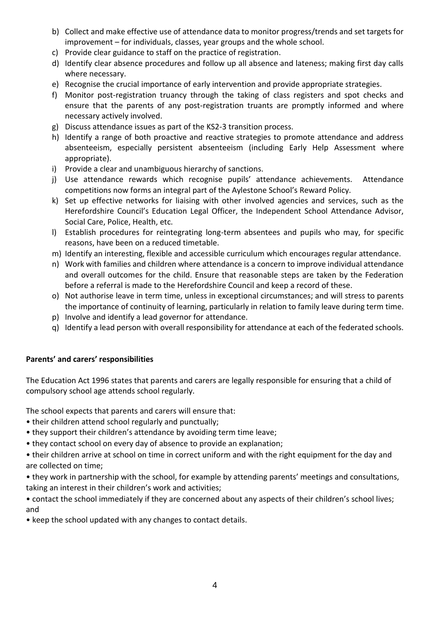- b) Collect and make effective use of attendance data to monitor progress/trends and set targets for improvement – for individuals, classes, year groups and the whole school.
- c) Provide clear guidance to staff on the practice of registration.
- d) Identify clear absence procedures and follow up all absence and lateness; making first day calls where necessary.
- e) Recognise the crucial importance of early intervention and provide appropriate strategies.
- f) Monitor post-registration truancy through the taking of class registers and spot checks and ensure that the parents of any post-registration truants are promptly informed and where necessary actively involved.
- g) Discuss attendance issues as part of the KS2-3 transition process.
- h) Identify a range of both proactive and reactive strategies to promote attendance and address absenteeism, especially persistent absenteeism (including Early Help Assessment where appropriate).
- i) Provide a clear and unambiguous hierarchy of sanctions.
- j) Use attendance rewards which recognise pupils' attendance achievements. Attendance competitions now forms an integral part of the Aylestone School's Reward Policy.
- k) Set up effective networks for liaising with other involved agencies and services, such as the Herefordshire Council's Education Legal Officer, the Independent School Attendance Advisor, Social Care, Police, Health, etc.
- l) Establish procedures for reintegrating long-term absentees and pupils who may, for specific reasons, have been on a reduced timetable.
- m) Identify an interesting, flexible and accessible curriculum which encourages regular attendance.
- n) Work with families and children where attendance is a concern to improve individual attendance and overall outcomes for the child. Ensure that reasonable steps are taken by the Federation before a referral is made to the Herefordshire Council and keep a record of these.
- o) Not authorise leave in term time, unless in exceptional circumstances; and will stress to parents the importance of continuity of learning, particularly in relation to family leave during term time.
- p) Involve and identify a lead governor for attendance.
- q) Identify a lead person with overall responsibility for attendance at each of the federated schools.

#### **Parents' and carers' responsibilities**

The Education Act 1996 states that parents and carers are legally responsible for ensuring that a child of compulsory school age attends school regularly.

The school expects that parents and carers will ensure that:

- their children attend school regularly and punctually;
- they support their children's attendance by avoiding term time leave;
- they contact school on every day of absence to provide an explanation;

• their children arrive at school on time in correct uniform and with the right equipment for the day and are collected on time;

• they work in partnership with the school, for example by attending parents' meetings and consultations, taking an interest in their children's work and activities;

• contact the school immediately if they are concerned about any aspects of their children's school lives; and

• keep the school updated with any changes to contact details.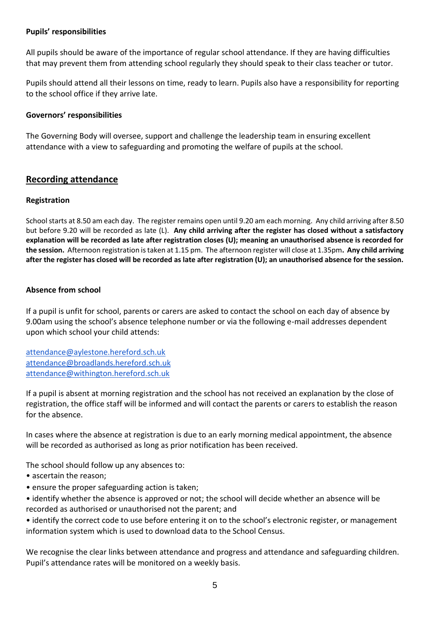#### **Pupils' responsibilities**

All pupils should be aware of the importance of regular school attendance. If they are having difficulties that may prevent them from attending school regularly they should speak to their class teacher or tutor.

Pupils should attend all their lessons on time, ready to learn. Pupils also have a responsibility for reporting to the school office if they arrive late.

#### **Governors' responsibilities**

The Governing Body will oversee, support and challenge the leadership team in ensuring excellent attendance with a view to safeguarding and promoting the welfare of pupils at the school.

## **Recording attendance**

#### **Registration**

School starts at 8.50 am each day. The register remains open until 9.20 am each morning. Any child arriving after 8.50 but before 9.20 will be recorded as late (L). **Any child arriving after the register has closed without a satisfactory explanation will be recorded as late after registration closes (U); meaning an unauthorised absence is recorded for the session.** Afternoon registration is taken at 1.15 pm. The afternoon register will close at 1.35pm**. Any child arriving after the register has closed will be recorded as late after registration (U); an unauthorised absence for the session.**

#### **Absence from school**

If a pupil is unfit for school, parents or carers are asked to contact the school on each day of absence by 9.00am using the school's absence telephone number or via the following e-mail addresses dependent upon which school your child attends:

[attendance@aylestone.hereford.sch.uk](mailto:attendance@aylestone.hereford.sch.uk) [attendance@broadlands.hereford.sch.uk](mailto:attendance@broadlands.hereford.sch.uk) [attendance@withington.hereford.sch.uk](mailto:attendance@withington.hereford.sch.uk)

If a pupil is absent at morning registration and the school has not received an explanation by the close of registration, the office staff will be informed and will contact the parents or carers to establish the reason for the absence.

In cases where the absence at registration is due to an early morning medical appointment, the absence will be recorded as authorised as long as prior notification has been received.

The school should follow up any absences to:

- ascertain the reason;
- ensure the proper safeguarding action is taken;
- identify whether the absence is approved or not; the school will decide whether an absence will be recorded as authorised or unauthorised not the parent; and

• identify the correct code to use before entering it on to the school's electronic register, or management information system which is used to download data to the School Census.

We recognise the clear links between attendance and progress and attendance and safeguarding children. Pupil's attendance rates will be monitored on a weekly basis.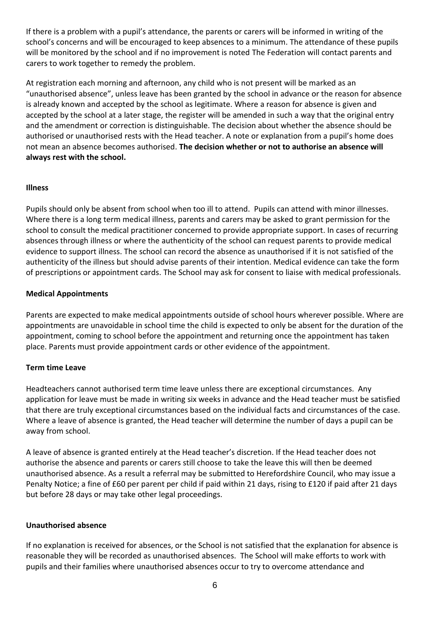If there is a problem with a pupil's attendance, the parents or carers will be informed in writing of the school's concerns and will be encouraged to keep absences to a minimum. The attendance of these pupils will be monitored by the school and if no improvement is noted The Federation will contact parents and carers to work together to remedy the problem.

At registration each morning and afternoon, any child who is not present will be marked as an "unauthorised absence", unless leave has been granted by the school in advance or the reason for absence is already known and accepted by the school as legitimate. Where a reason for absence is given and accepted by the school at a later stage, the register will be amended in such a way that the original entry and the amendment or correction is distinguishable. The decision about whether the absence should be authorised or unauthorised rests with the Head teacher. A note or explanation from a pupil's home does not mean an absence becomes authorised. **The decision whether or not to authorise an absence will always rest with the school.** 

#### **Illness**

Pupils should only be absent from school when too ill to attend. Pupils can attend with minor illnesses. Where there is a long term medical illness, parents and carers may be asked to grant permission for the school to consult the medical practitioner concerned to provide appropriate support. In cases of recurring absences through illness or where the authenticity of the school can request parents to provide medical evidence to support illness. The school can record the absence as unauthorised if it is not satisfied of the authenticity of the illness but should advise parents of their intention. Medical evidence can take the form of prescriptions or appointment cards. The School may ask for consent to liaise with medical professionals.

## **Medical Appointments**

Parents are expected to make medical appointments outside of school hours wherever possible. Where are appointments are unavoidable in school time the child is expected to only be absent for the duration of the appointment, coming to school before the appointment and returning once the appointment has taken place. Parents must provide appointment cards or other evidence of the appointment.

#### **Term time Leave**

Headteachers cannot authorised term time leave unless there are exceptional circumstances. Any application for leave must be made in writing six weeks in advance and the Head teacher must be satisfied that there are truly exceptional circumstances based on the individual facts and circumstances of the case. Where a leave of absence is granted, the Head teacher will determine the number of days a pupil can be away from school.

A leave of absence is granted entirely at the Head teacher's discretion. If the Head teacher does not authorise the absence and parents or carers still choose to take the leave this will then be deemed unauthorised absence. As a result a referral may be submitted to Herefordshire Council, who may issue a Penalty Notice; a fine of £60 per parent per child if paid within 21 days, rising to £120 if paid after 21 days but before 28 days or may take other legal proceedings.

#### **Unauthorised absence**

If no explanation is received for absences, or the School is not satisfied that the explanation for absence is reasonable they will be recorded as unauthorised absences. The School will make efforts to work with pupils and their families where unauthorised absences occur to try to overcome attendance and